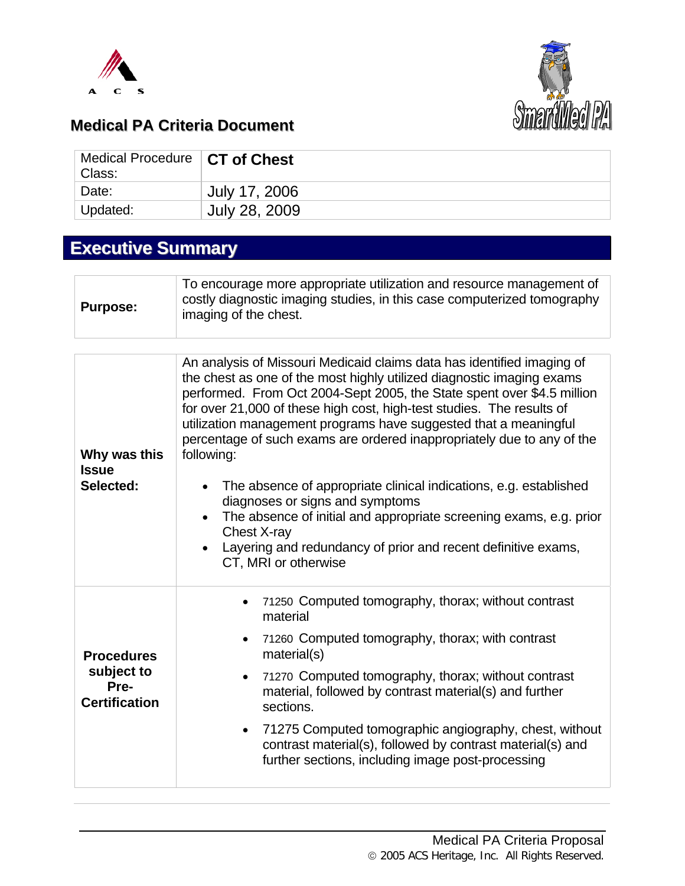



## **Medical PA Criteria Document**

| Medical Procedure   CT of Chest<br><sup>∣</sup> Class: |               |
|--------------------------------------------------------|---------------|
| Date:                                                  | July 17, 2006 |
| ↓ Updated:                                             | July 28, 2009 |

# **Executive Summary**

| To encourage more appropriate utilization and resource management of<br>costly diagnostic imaging studies, in this case computerized tomography<br><b>Purpose:</b><br>imaging of the chest. |  |
|---------------------------------------------------------------------------------------------------------------------------------------------------------------------------------------------|--|
|                                                                                                                                                                                             |  |

| Why was this<br><b>Issue</b><br>Selected:                       | An analysis of Missouri Medicaid claims data has identified imaging of<br>the chest as one of the most highly utilized diagnostic imaging exams<br>performed. From Oct 2004-Sept 2005, the State spent over \$4.5 million<br>for over 21,000 of these high cost, high-test studies. The results of<br>utilization management programs have suggested that a meaningful<br>percentage of such exams are ordered inappropriately due to any of the<br>following:<br>The absence of appropriate clinical indications, e.g. established<br>diagnoses or signs and symptoms<br>The absence of initial and appropriate screening exams, e.g. prior<br><b>Chest X-ray</b><br>Layering and redundancy of prior and recent definitive exams,<br>$\bullet$<br>CT, MRI or otherwise |
|-----------------------------------------------------------------|--------------------------------------------------------------------------------------------------------------------------------------------------------------------------------------------------------------------------------------------------------------------------------------------------------------------------------------------------------------------------------------------------------------------------------------------------------------------------------------------------------------------------------------------------------------------------------------------------------------------------------------------------------------------------------------------------------------------------------------------------------------------------|
| <b>Procedures</b><br>subject to<br>Pre-<br><b>Certification</b> | 71250 Computed tomography, thorax; without contrast<br>material<br>71260 Computed tomography, thorax; with contrast<br>material(s)<br>71270 Computed tomography, thorax; without contrast<br>material, followed by contrast material(s) and further<br>sections.<br>71275 Computed tomographic angiography, chest, without<br>$\bullet$<br>contrast material(s), followed by contrast material(s) and<br>further sections, including image post-processing                                                                                                                                                                                                                                                                                                               |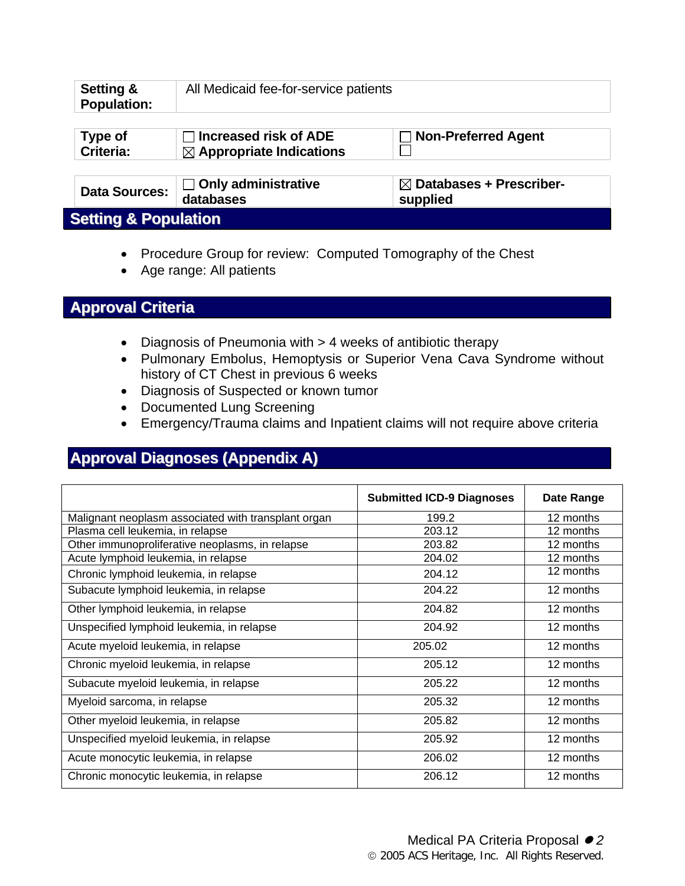| <b>Setting &amp;</b><br><b>Population:</b> | All Medicaid fee-for-service patients                               |                                                 |
|--------------------------------------------|---------------------------------------------------------------------|-------------------------------------------------|
| Type of<br>Criteria:                       | <b>Increased risk of ADE</b><br>$\boxtimes$ Appropriate Indications | $\Box$ Non-Preferred Agent                      |
| <b>Data Sources:</b>                       | <b>Only administrative</b><br>databases                             | $\boxtimes$ Databases + Prescriber-<br>supplied |
| <b>Setting &amp; Population</b>            |                                                                     |                                                 |

- Procedure Group for review: Computed Tomography of the Chest
- Age range: All patients

#### **Approval Criteria**

- Diagnosis of Pneumonia with > 4 weeks of antibiotic therapy
- Pulmonary Embolus, Hemoptysis or Superior Vena Cava Syndrome without history of CT Chest in previous 6 weeks
- Diagnosis of Suspected or known tumor
- Documented Lung Screening
- Emergency/Trauma claims and Inpatient claims will not require above criteria

### **Approval Diagnoses (Appendix A)**

|                                                     | <b>Submitted ICD-9 Diagnoses</b> | Date Range |
|-----------------------------------------------------|----------------------------------|------------|
| Malignant neoplasm associated with transplant organ | 199.2                            | 12 months  |
| Plasma cell leukemia, in relapse                    | 203.12                           | 12 months  |
| Other immunoproliferative neoplasms, in relapse     | 203.82                           | 12 months  |
| Acute lymphoid leukemia, in relapse                 | 204.02                           | 12 months  |
| Chronic lymphoid leukemia, in relapse               | 204.12                           | 12 months  |
| Subacute lymphoid leukemia, in relapse              | 204.22                           | 12 months  |
| Other lymphoid leukemia, in relapse                 | 204.82                           | 12 months  |
| Unspecified lymphoid leukemia, in relapse           | 204.92                           | 12 months  |
| Acute myeloid leukemia, in relapse                  | 205.02                           | 12 months  |
| Chronic myeloid leukemia, in relapse                | 205.12                           | 12 months  |
| Subacute myeloid leukemia, in relapse               | 205.22                           | 12 months  |
| Myeloid sarcoma, in relapse                         | 205.32                           | 12 months  |
| Other myeloid leukemia, in relapse                  | 205.82                           | 12 months  |
| Unspecified myeloid leukemia, in relapse            | 205.92                           | 12 months  |
| Acute monocytic leukemia, in relapse                | 206.02                           | 12 months  |
| Chronic monocytic leukemia, in relapse              | 206.12                           | 12 months  |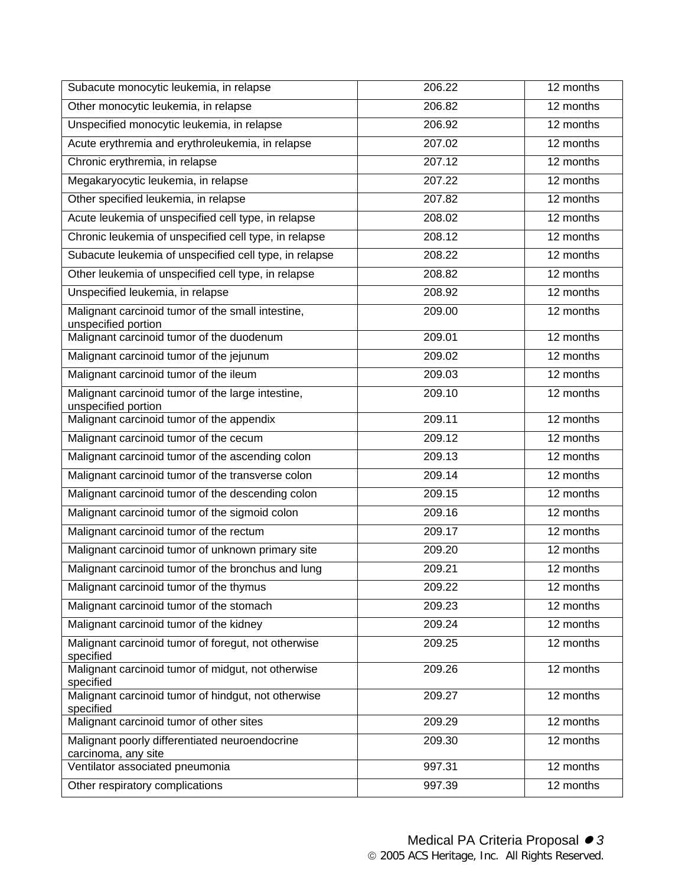| Subacute monocytic leukemia, in relapse                                  | 206.22 | 12 months              |
|--------------------------------------------------------------------------|--------|------------------------|
| Other monocytic leukemia, in relapse                                     | 206.82 | 12 months              |
| Unspecified monocytic leukemia, in relapse                               | 206.92 | 12 months              |
| Acute erythremia and erythroleukemia, in relapse                         | 207.02 | 12 months              |
| Chronic erythremia, in relapse                                           | 207.12 | 12 months              |
| Megakaryocytic leukemia, in relapse                                      | 207.22 | 12 months              |
| Other specified leukemia, in relapse                                     | 207.82 | 12 months              |
| Acute leukemia of unspecified cell type, in relapse                      | 208.02 | 12 months              |
| Chronic leukemia of unspecified cell type, in relapse                    | 208.12 | 12 months              |
| Subacute leukemia of unspecified cell type, in relapse                   | 208.22 | 12 months              |
| Other leukemia of unspecified cell type, in relapse                      | 208.82 | 12 months              |
| Unspecified leukemia, in relapse                                         | 208.92 | 12 months              |
| Malignant carcinoid tumor of the small intestine,<br>unspecified portion | 209.00 | 12 months              |
| Malignant carcinoid tumor of the duodenum                                | 209.01 | 12 months              |
| Malignant carcinoid tumor of the jejunum                                 | 209.02 | 12 months              |
| Malignant carcinoid tumor of the ileum                                   | 209.03 | 12 months              |
| Malignant carcinoid tumor of the large intestine,<br>unspecified portion | 209.10 | 12 months              |
| Malignant carcinoid tumor of the appendix                                | 209.11 | 12 months              |
| Malignant carcinoid tumor of the cecum                                   | 209.12 | 12 months              |
| Malignant carcinoid tumor of the ascending colon                         | 209.13 | 12 months              |
| Malignant carcinoid tumor of the transverse colon                        | 209.14 | 12 months              |
| Malignant carcinoid tumor of the descending colon                        | 209.15 | 12 months              |
| Malignant carcinoid tumor of the sigmoid colon                           | 209.16 | 12 months              |
| Malignant carcinoid tumor of the rectum                                  | 209.17 | 12 months              |
| Malignant carcinoid tumor of unknown primary site                        | 209.20 | 12 months              |
| Malignant carcinoid tumor of the bronchus and lung                       | 209.21 | $\overline{12}$ months |
| Malignant carcinoid tumor of the thymus                                  | 209.22 | 12 months              |
| Malignant carcinoid tumor of the stomach                                 | 209.23 | 12 months              |
| Malignant carcinoid tumor of the kidney                                  | 209.24 | 12 months              |
| Malignant carcinoid tumor of foregut, not otherwise<br>specified         | 209.25 | 12 months              |
| Malignant carcinoid tumor of midgut, not otherwise<br>specified          | 209.26 | 12 months              |
| Malignant carcinoid tumor of hindgut, not otherwise<br>specified         | 209.27 | 12 months              |
| Malignant carcinoid tumor of other sites                                 | 209.29 | 12 months              |
| Malignant poorly differentiated neuroendocrine<br>carcinoma, any site    | 209.30 | 12 months              |
| Ventilator associated pneumonia                                          | 997.31 | 12 months              |
| Other respiratory complications                                          | 997.39 | 12 months              |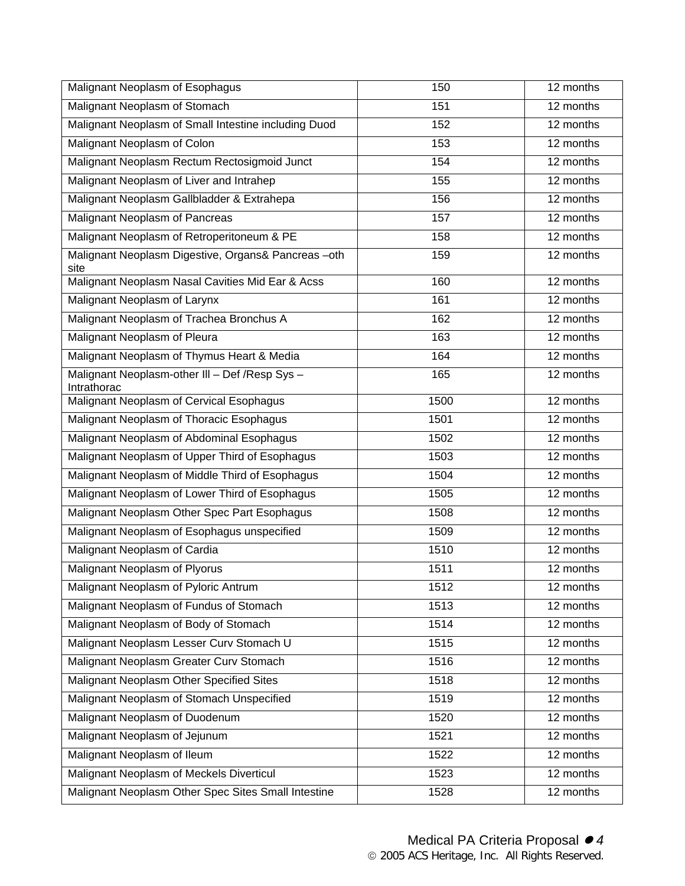| Malignant Neoplasm of Esophagus                               | 150  | 12 months              |
|---------------------------------------------------------------|------|------------------------|
| Malignant Neoplasm of Stomach                                 | 151  | 12 months              |
| Malignant Neoplasm of Small Intestine including Duod          | 152  | 12 months              |
| Malignant Neoplasm of Colon                                   | 153  | 12 months              |
| Malignant Neoplasm Rectum Rectosigmoid Junct                  | 154  | 12 months              |
| Malignant Neoplasm of Liver and Intrahep                      | 155  | 12 months              |
| Malignant Neoplasm Gallbladder & Extrahepa                    | 156  | $\overline{12}$ months |
| Malignant Neoplasm of Pancreas                                | 157  | 12 months              |
| Malignant Neoplasm of Retroperitoneum & PE                    | 158  | 12 months              |
| Malignant Neoplasm Digestive, Organs& Pancreas-oth<br>site    | 159  | 12 months              |
| Malignant Neoplasm Nasal Cavities Mid Ear & Acss              | 160  | 12 months              |
| Malignant Neoplasm of Larynx                                  | 161  | 12 months              |
| Malignant Neoplasm of Trachea Bronchus A                      | 162  | 12 months              |
| Malignant Neoplasm of Pleura                                  | 163  | 12 months              |
| Malignant Neoplasm of Thymus Heart & Media                    | 164  | 12 months              |
| Malignant Neoplasm-other III - Def /Resp Sys -<br>Intrathorac | 165  | 12 months              |
| Malignant Neoplasm of Cervical Esophagus                      | 1500 | 12 months              |
| Malignant Neoplasm of Thoracic Esophagus                      | 1501 | 12 months              |
| Malignant Neoplasm of Abdominal Esophagus                     | 1502 | 12 months              |
| Malignant Neoplasm of Upper Third of Esophagus                | 1503 | 12 months              |
| Malignant Neoplasm of Middle Third of Esophagus               | 1504 | 12 months              |
| Malignant Neoplasm of Lower Third of Esophagus                | 1505 | 12 months              |
| Malignant Neoplasm Other Spec Part Esophagus                  | 1508 | 12 months              |
| Malignant Neoplasm of Esophagus unspecified                   | 1509 | 12 months              |
| Malignant Neoplasm of Cardia                                  | 1510 | 12 months              |
| Malignant Neoplasm of Plyorus                                 | 1511 | 12 months              |
| Malignant Neoplasm of Pyloric Antrum                          | 1512 | 12 months              |
| Malignant Neoplasm of Fundus of Stomach                       | 1513 | 12 months              |
| Malignant Neoplasm of Body of Stomach                         | 1514 | 12 months              |
| Malignant Neoplasm Lesser Curv Stomach U                      | 1515 | 12 months              |
| Malignant Neoplasm Greater Curv Stomach                       | 1516 | 12 months              |
| Malignant Neoplasm Other Specified Sites                      | 1518 | 12 months              |
| Malignant Neoplasm of Stomach Unspecified                     | 1519 | 12 months              |
| Malignant Neoplasm of Duodenum                                | 1520 | 12 months              |
| Malignant Neoplasm of Jejunum                                 | 1521 | 12 months              |
| Malignant Neoplasm of Ileum                                   | 1522 | 12 months              |
| Malignant Neoplasm of Meckels Diverticul                      | 1523 | 12 months              |
| Malignant Neoplasm Other Spec Sites Small Intestine           | 1528 | 12 months              |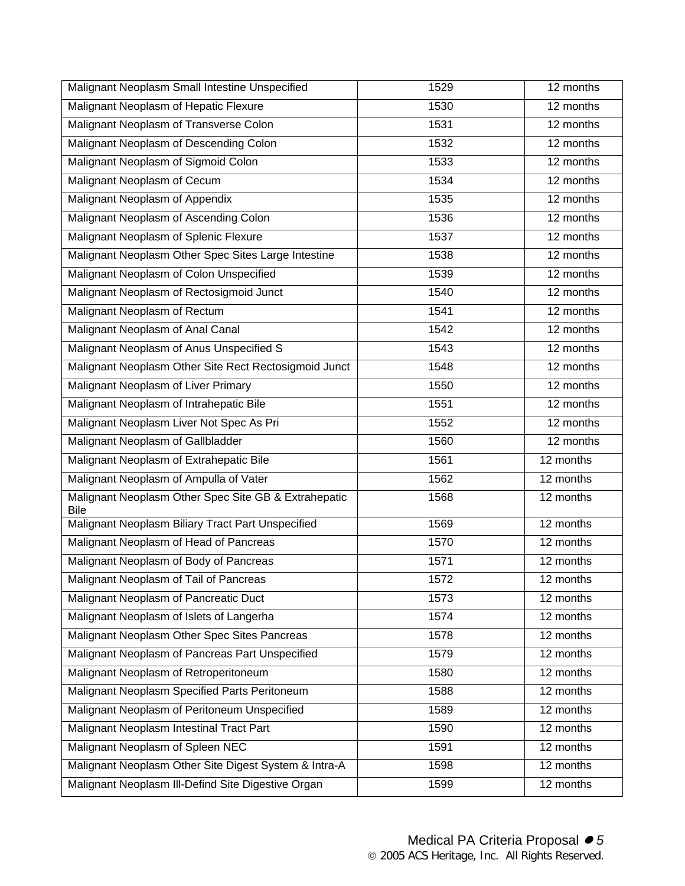| Malignant Neoplasm Small Intestine Unspecified                      | 1529 | 12 months              |
|---------------------------------------------------------------------|------|------------------------|
| Malignant Neoplasm of Hepatic Flexure                               | 1530 | $\frac{1}{2}$ months   |
| Malignant Neoplasm of Transverse Colon                              | 1531 | 12 months              |
| Malignant Neoplasm of Descending Colon                              | 1532 | 12 months              |
| Malignant Neoplasm of Sigmoid Colon                                 | 1533 | 12 months              |
| Malignant Neoplasm of Cecum                                         | 1534 | 12 months              |
| Malignant Neoplasm of Appendix                                      | 1535 | 12 months              |
| Malignant Neoplasm of Ascending Colon                               | 1536 | 12 months              |
| Malignant Neoplasm of Splenic Flexure                               | 1537 | 12 months              |
| Malignant Neoplasm Other Spec Sites Large Intestine                 | 1538 | 12 months              |
| Malignant Neoplasm of Colon Unspecified                             | 1539 | 12 months              |
| Malignant Neoplasm of Rectosigmoid Junct                            | 1540 | 12 months              |
| Malignant Neoplasm of Rectum                                        | 1541 | 12 months              |
| Malignant Neoplasm of Anal Canal                                    | 1542 | 12 months              |
| Malignant Neoplasm of Anus Unspecified S                            | 1543 | 12 months              |
| Malignant Neoplasm Other Site Rect Rectosigmoid Junct               | 1548 | 12 months              |
| Malignant Neoplasm of Liver Primary                                 | 1550 | 12 months              |
| Malignant Neoplasm of Intrahepatic Bile                             | 1551 | $\overline{12}$ months |
| Malignant Neoplasm Liver Not Spec As Pri                            | 1552 | 12 months              |
| Malignant Neoplasm of Gallbladder                                   | 1560 | $\frac{1}{2}$ months   |
| Malignant Neoplasm of Extrahepatic Bile                             | 1561 | 12 months              |
| Malignant Neoplasm of Ampulla of Vater                              | 1562 | 12 months              |
| Malignant Neoplasm Other Spec Site GB & Extrahepatic<br><b>Bile</b> | 1568 | 12 months              |
| Malignant Neoplasm Biliary Tract Part Unspecified                   | 1569 | 12 months              |
| Malignant Neoplasm of Head of Pancreas                              | 1570 | 12 months              |
| Malignant Neoplasm of Body of Pancreas                              | 1571 | 12 months              |
| Malignant Neoplasm of Tail of Pancreas                              | 1572 | 12 months              |
| Malignant Neoplasm of Pancreatic Duct                               | 1573 | 12 months              |
| Malignant Neoplasm of Islets of Langerha                            | 1574 | 12 months              |
| Malignant Neoplasm Other Spec Sites Pancreas                        | 1578 | 12 months              |
| Malignant Neoplasm of Pancreas Part Unspecified                     | 1579 | 12 months              |
| Malignant Neoplasm of Retroperitoneum                               | 1580 | 12 months              |
| Malignant Neoplasm Specified Parts Peritoneum                       | 1588 | 12 months              |
| Malignant Neoplasm of Peritoneum Unspecified                        | 1589 | 12 months              |
| Malignant Neoplasm Intestinal Tract Part                            | 1590 | 12 months              |
| Malignant Neoplasm of Spleen NEC                                    | 1591 | 12 months              |
| Malignant Neoplasm Other Site Digest System & Intra-A               | 1598 | 12 months              |
| Malignant Neoplasm III-Defind Site Digestive Organ                  | 1599 | 12 months              |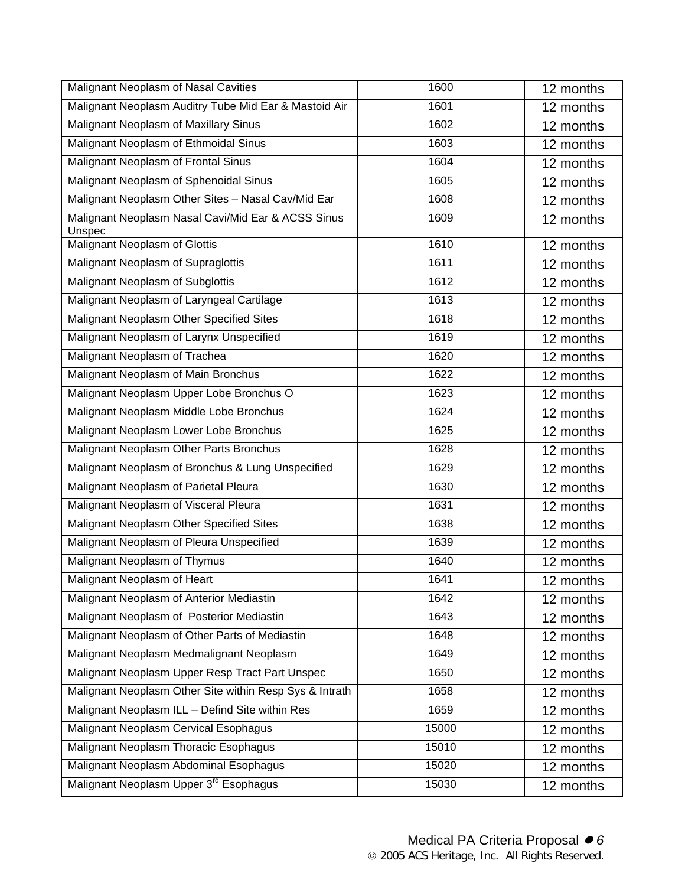| Malignant Neoplasm of Nasal Cavities                         | 1600  | 12 months |
|--------------------------------------------------------------|-------|-----------|
| Malignant Neoplasm Auditry Tube Mid Ear & Mastoid Air        | 1601  | 12 months |
| Malignant Neoplasm of Maxillary Sinus                        | 1602  | 12 months |
| Malignant Neoplasm of Ethmoidal Sinus                        | 1603  | 12 months |
| Malignant Neoplasm of Frontal Sinus                          | 1604  | 12 months |
| Malignant Neoplasm of Sphenoidal Sinus                       | 1605  | 12 months |
| Malignant Neoplasm Other Sites - Nasal Cav/Mid Ear           | 1608  | 12 months |
| Malignant Neoplasm Nasal Cavi/Mid Ear & ACSS Sinus<br>Unspec | 1609  | 12 months |
| Malignant Neoplasm of Glottis                                | 1610  | 12 months |
| Malignant Neoplasm of Supraglottis                           | 1611  | 12 months |
| Malignant Neoplasm of Subglottis                             | 1612  | 12 months |
| Malignant Neoplasm of Laryngeal Cartilage                    | 1613  | 12 months |
| Malignant Neoplasm Other Specified Sites                     | 1618  | 12 months |
| Malignant Neoplasm of Larynx Unspecified                     | 1619  | 12 months |
| Malignant Neoplasm of Trachea                                | 1620  | 12 months |
| Malignant Neoplasm of Main Bronchus                          | 1622  | 12 months |
| Malignant Neoplasm Upper Lobe Bronchus O                     | 1623  | 12 months |
| Malignant Neoplasm Middle Lobe Bronchus                      | 1624  | 12 months |
| Malignant Neoplasm Lower Lobe Bronchus                       | 1625  | 12 months |
| Malignant Neoplasm Other Parts Bronchus                      | 1628  | 12 months |
| Malignant Neoplasm of Bronchus & Lung Unspecified            | 1629  | 12 months |
| Malignant Neoplasm of Parietal Pleura                        | 1630  | 12 months |
| Malignant Neoplasm of Visceral Pleura                        | 1631  | 12 months |
| Malignant Neoplasm Other Specified Sites                     | 1638  | 12 months |
| Malignant Neoplasm of Pleura Unspecified                     | 1639  | 12 months |
| Malignant Neoplasm of Thymus                                 | 1640  | 12 months |
| Malignant Neoplasm of Heart                                  | 1641  | 12 months |
| Malignant Neoplasm of Anterior Mediastin                     | 1642  | 12 months |
| Malignant Neoplasm of Posterior Mediastin                    | 1643  | 12 months |
| Malignant Neoplasm of Other Parts of Mediastin               | 1648  | 12 months |
| Malignant Neoplasm Medmalignant Neoplasm                     | 1649  | 12 months |
| Malignant Neoplasm Upper Resp Tract Part Unspec              | 1650  | 12 months |
| Malignant Neoplasm Other Site within Resp Sys & Intrath      | 1658  | 12 months |
| Malignant Neoplasm ILL - Defind Site within Res              | 1659  | 12 months |
| Malignant Neoplasm Cervical Esophagus                        | 15000 | 12 months |
| Malignant Neoplasm Thoracic Esophagus                        | 15010 | 12 months |
| Malignant Neoplasm Abdominal Esophagus                       | 15020 | 12 months |
| Malignant Neoplasm Upper 3 <sup>rd</sup> Esophagus           | 15030 | 12 months |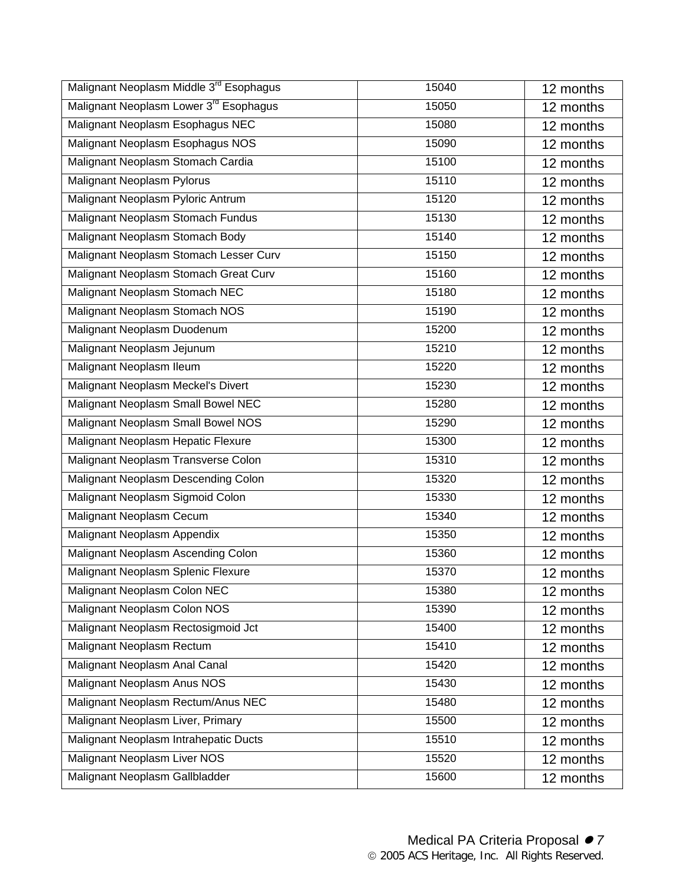| Malignant Neoplasm Middle 3 <sup>rd</sup> Esophagus | 15040 | 12 months |
|-----------------------------------------------------|-------|-----------|
| Malignant Neoplasm Lower 3 <sup>rd</sup> Esophagus  | 15050 | 12 months |
| Malignant Neoplasm Esophagus NEC                    | 15080 | 12 months |
| Malignant Neoplasm Esophagus NOS                    | 15090 | 12 months |
| Malignant Neoplasm Stomach Cardia                   | 15100 | 12 months |
| Malignant Neoplasm Pylorus                          | 15110 | 12 months |
| Malignant Neoplasm Pyloric Antrum                   | 15120 | 12 months |
| Malignant Neoplasm Stomach Fundus                   | 15130 | 12 months |
| Malignant Neoplasm Stomach Body                     | 15140 | 12 months |
| Malignant Neoplasm Stomach Lesser Curv              | 15150 | 12 months |
| Malignant Neoplasm Stomach Great Curv               | 15160 | 12 months |
| Malignant Neoplasm Stomach NEC                      | 15180 | 12 months |
| Malignant Neoplasm Stomach NOS                      | 15190 | 12 months |
| Malignant Neoplasm Duodenum                         | 15200 | 12 months |
| Malignant Neoplasm Jejunum                          | 15210 | 12 months |
| Malignant Neoplasm Ileum                            | 15220 | 12 months |
| Malignant Neoplasm Meckel's Divert                  | 15230 | 12 months |
| Malignant Neoplasm Small Bowel NEC                  | 15280 | 12 months |
| Malignant Neoplasm Small Bowel NOS                  | 15290 | 12 months |
| Malignant Neoplasm Hepatic Flexure                  | 15300 | 12 months |
| Malignant Neoplasm Transverse Colon                 | 15310 | 12 months |
| Malignant Neoplasm Descending Colon                 | 15320 | 12 months |
| Malignant Neoplasm Sigmoid Colon                    | 15330 | 12 months |
| <b>Malignant Neoplasm Cecum</b>                     | 15340 | 12 months |
| Malignant Neoplasm Appendix                         | 15350 | 12 months |
| Malignant Neoplasm Ascending Colon                  | 15360 | 12 months |
| Malignant Neoplasm Splenic Flexure                  | 15370 | 12 months |
| Malignant Neoplasm Colon NEC                        | 15380 | 12 months |
| Malignant Neoplasm Colon NOS                        | 15390 | 12 months |
| Malignant Neoplasm Rectosigmoid Jct                 | 15400 | 12 months |
| Malignant Neoplasm Rectum                           | 15410 | 12 months |
| Malignant Neoplasm Anal Canal                       | 15420 | 12 months |
| Malignant Neoplasm Anus NOS                         | 15430 | 12 months |
| Malignant Neoplasm Rectum/Anus NEC                  | 15480 | 12 months |
| Malignant Neoplasm Liver, Primary                   | 15500 | 12 months |
| Malignant Neoplasm Intrahepatic Ducts               | 15510 | 12 months |
| Malignant Neoplasm Liver NOS                        | 15520 | 12 months |
| Malignant Neoplasm Gallbladder                      | 15600 | 12 months |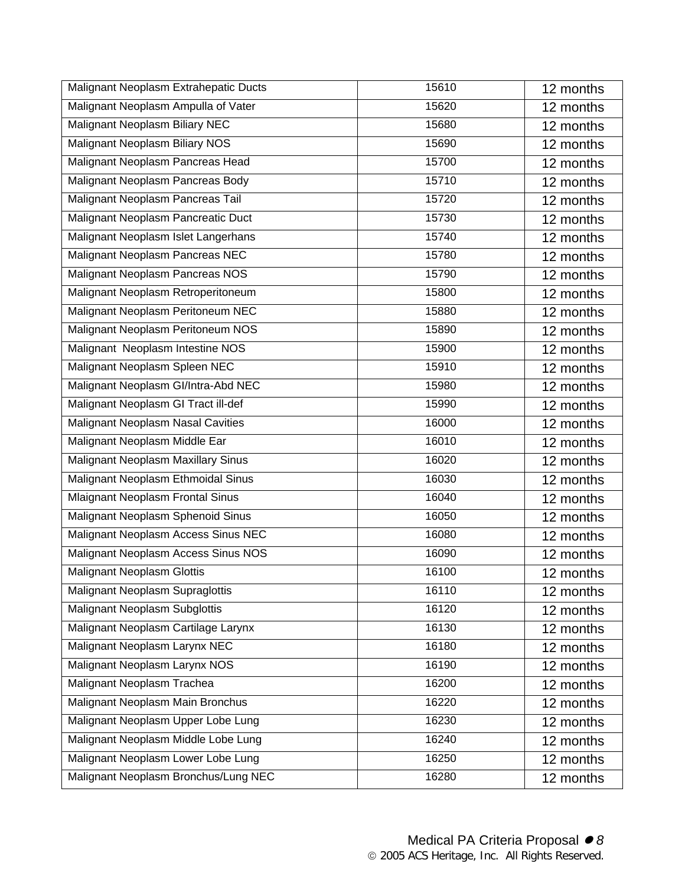| Malignant Neoplasm Extrahepatic Ducts     | 15610 | 12 months |
|-------------------------------------------|-------|-----------|
| Malignant Neoplasm Ampulla of Vater       | 15620 | 12 months |
| Malignant Neoplasm Biliary NEC            | 15680 | 12 months |
| <b>Malignant Neoplasm Biliary NOS</b>     | 15690 | 12 months |
| Malignant Neoplasm Pancreas Head          | 15700 | 12 months |
| Malignant Neoplasm Pancreas Body          | 15710 | 12 months |
| Malignant Neoplasm Pancreas Tail          | 15720 | 12 months |
| Malignant Neoplasm Pancreatic Duct        | 15730 | 12 months |
| Malignant Neoplasm Islet Langerhans       | 15740 | 12 months |
| Malignant Neoplasm Pancreas NEC           | 15780 | 12 months |
| Malignant Neoplasm Pancreas NOS           | 15790 | 12 months |
| Malignant Neoplasm Retroperitoneum        | 15800 | 12 months |
| Malignant Neoplasm Peritoneum NEC         | 15880 | 12 months |
| Malignant Neoplasm Peritoneum NOS         | 15890 | 12 months |
| Malignant Neoplasm Intestine NOS          | 15900 | 12 months |
| Malignant Neoplasm Spleen NEC             | 15910 | 12 months |
| Malignant Neoplasm Gl/Intra-Abd NEC       | 15980 | 12 months |
| Malignant Neoplasm GI Tract ill-def       | 15990 | 12 months |
| Malignant Neoplasm Nasal Cavities         | 16000 | 12 months |
| Malignant Neoplasm Middle Ear             | 16010 | 12 months |
| <b>Malignant Neoplasm Maxillary Sinus</b> | 16020 | 12 months |
| Malignant Neoplasm Ethmoidal Sinus        | 16030 | 12 months |
| Mlaignant Neoplasm Frontal Sinus          | 16040 | 12 months |
| Malignant Neoplasm Sphenoid Sinus         | 16050 | 12 months |
| Malignant Neoplasm Access Sinus NEC       | 16080 | 12 months |
| Malignant Neoplasm Access Sinus NOS       | 16090 | 12 months |
| <b>Malignant Neoplasm Glottis</b>         | 16100 | 12 months |
| Malignant Neoplasm Supraglottis           | 16110 | 12 months |
| <b>Malignant Neoplasm Subglottis</b>      | 16120 | 12 months |
| Malignant Neoplasm Cartilage Larynx       | 16130 | 12 months |
| Malignant Neoplasm Larynx NEC             | 16180 | 12 months |
| Malignant Neoplasm Larynx NOS             | 16190 | 12 months |
| Malignant Neoplasm Trachea                | 16200 | 12 months |
| Malignant Neoplasm Main Bronchus          | 16220 | 12 months |
| Malignant Neoplasm Upper Lobe Lung        | 16230 | 12 months |
| Malignant Neoplasm Middle Lobe Lung       | 16240 | 12 months |
| Malignant Neoplasm Lower Lobe Lung        | 16250 | 12 months |
| Malignant Neoplasm Bronchus/Lung NEC      | 16280 | 12 months |